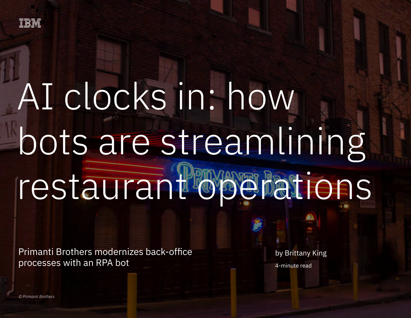

# AI clocks in: how bots are streamlining restaurant operations

Primanti Brothers modernizes back-office processes with an RPA bot 1

Primanti Brothers modernizes back-office processes with an RPA bot

by Brittany King 4-minute read

*© Primanti Brothers*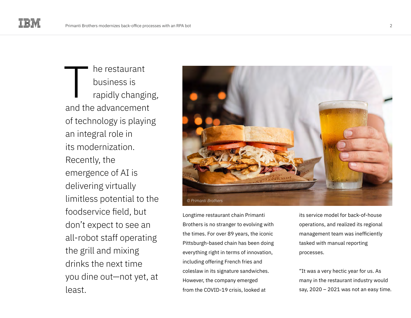he restaurant business is rapidly changing, and the advancement of technology is playing an integral role in its modernization. Recently, the emergence of AI is delivering virtually limitless potential to the foodservice field, but don't expect to see an all-robot staff operating the grill and mixing drinks the next time you dine out—not yet, at least. T



Longtime restaurant chain Primanti Brothers is no stranger to evolving with the times. For over 89 years, the iconic Pittsburgh-based chain has been doing everything right in terms of innovation, including offering French fries and coleslaw in its signature sandwiches. However, the company emerged from the COVID-19 crisis, looked at

its service model for back-of-house operations, and realized its regional management team was inefficiently tasked with manual reporting processes.

"It was a very hectic year for us. As many in the restaurant industry would say, 2020 – 2021 was not an easy time.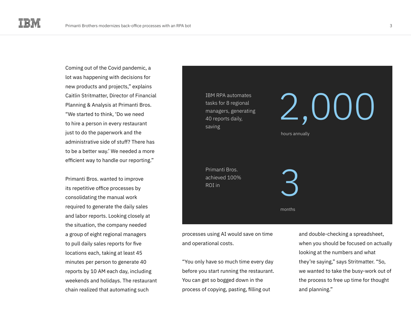Coming out of the Covid pandemic, a lot was happening with decisions for new products and projects," explains Caitlin Stritmatter, Director of Financial Planning & Analysis at Primanti Bros. "We started to think, 'Do we need to hire a person in every restaurant just to do the paperwork and the administrative side of stuff? There has to be a better way.' We needed a more efficient way to handle our reporting."

Primanti Bros. wanted to improve its repetitive office processes by consolidating the manual work required to generate the daily sales and labor reports. Looking closely at the situation, the company needed a group of eight regional managers to pull daily sales reports for five locations each, taking at least 45 minutes per person to generate 40 reports by 10 AM each day, including weekends and holidays. The restaurant chain realized that automating such



processes using AI would save on time and operational costs.

"You only have so much time every day before you start running the restaurant. You can get so bogged down in the process of copying, pasting, filling out

and double-checking a spreadsheet, when you should be focused on actually looking at the numbers and what they're saying," says Stritmatter. "So, we wanted to take the busy-work out of the process to free up time for thought and planning."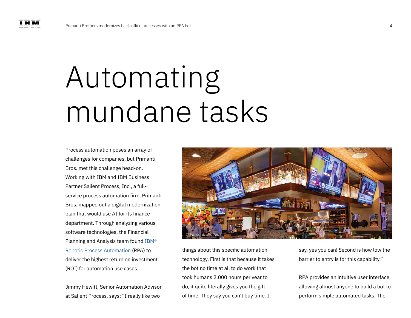## Automating mundane tasks

Process automation poses an array of challenges for companies, but Primanti Bros. met this challenge head-on. Working with IBM and IBM Business Partner Salient Process, Inc., a fullservice process automation firm, Primanti Bros. mapped out a digital modernization plan that would use AI for its finance department. Through analyzing various software technologies, the Financial Planning and Analysis team found [IBM®](https://www.ibm.com/products/robotic-process-automation)  [Robotic Process Automation](https://www.ibm.com/products/robotic-process-automation) (RPA) to deliver the highest return on investment (ROI) for automation use cases.

Jimmy Hewitt, Senior Automation Advisor at Salient Process, says: "I really like two



things about this specific automation technology. First is that because it takes the bot no time at all to do work that took humans 2,000 hours per year to do, it quite literally gives you the gift of time. They say you can't buy time. I

say, yes you can! Second is how low the barrier to entry is for this capability."

RPA provides an intuitive user interface, allowing almost anyone to build a bot to perform simple automated tasks. The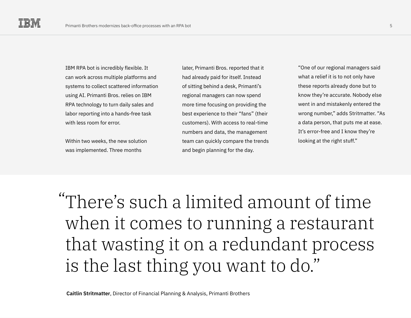IBM RPA bot is incredibly flexible. It can work across multiple platforms and systems to collect scattered information using AI. Primanti Bros. relies on IBM RPA technology to turn daily sales and labor reporting into a hands-free task with less room for error.

Within two weeks, the new solution was implemented. Three months

later, Primanti Bros. reported that it had already paid for itself. Instead of sitting behind a desk, Primanti's regional managers can now spend more time focusing on providing the best experience to their "fans" (their customers). With access to real-time numbers and data, the management team can quickly compare the trends and begin planning for the day.

"One of our regional managers said what a relief it is to not only have these reports already done but to know they're accurate. Nobody else went in and mistakenly entered the wrong number," adds Stritmatter. "As a data person, that puts me at ease. It's error-free and I know they're looking at the right stuff."

There's such a limited amount of time "when it comes to running a restaurant that wasting it on a redundant process is the last thing you want to do."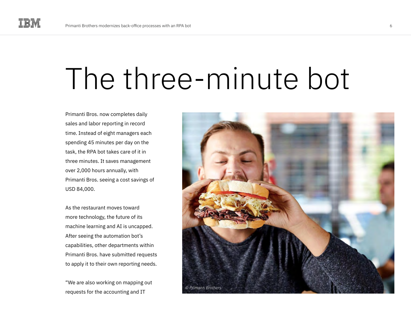### The three-minute bot

Primanti Bros. now completes daily sales and labor reporting in record time. Instead of eight managers each spending 45 minutes per day on the task, the RPA bot takes care of it in three minutes. It saves management over 2,000 hours annually, with Primanti Bros. seeing a cost savings of USD 84,000.

As the restaurant moves toward more technology, the future of its machine learning and AI is uncapped. After seeing the automation bot's capabilities, other departments within Primanti Bros. have submitted requests to apply it to their own reporting needs.

"We are also working on mapping out requests for the accounting and IT

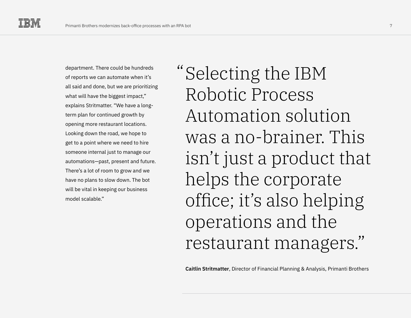department. There could be hundreds of reports we can automate when it's all said and done, but we are prioritizing what will have the biggest impact," explains Stritmatter. "We have a longterm plan for continued growth by opening more restaurant locations. Looking down the road, we hope to get to a point where we need to hire someone internal just to manage our automations—past, present and future. There's a lot of room to grow and we have no plans to slow down. The bot will be vital in keeping our business model scalable."

Selecting the IBM "Robotic Process Automation solution was a no-brainer. This isn't just a product that helps the corporate office; it's also helping operations and the restaurant managers."

**Caitlin Stritmatter**, Director of Financial Planning & Analysis, Primanti Brothers